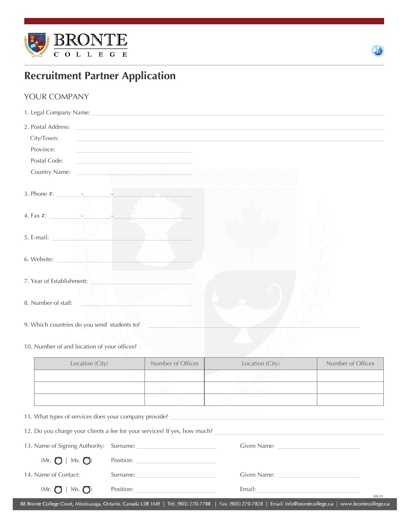



## **Recruitment Partner Application**

## YOUR COMPANY

| 2. Postal Address:                | <u> Alexandria de la contrada de la contrada de la contrada de la contrada de la contrada de la contrada de la c</u>  |
|-----------------------------------|-----------------------------------------------------------------------------------------------------------------------|
| City/Town:                        | <u> 1989 - Johann Stoff, amerikansk politiker (d. 1989)</u>                                                           |
| Province:                         | <u> Alexandria de la contrada de la contrada de la contrada de la contrada de la contrada de la contrada de la c</u>  |
| Postal Code:                      | <u> 1980 - Johann Barbara, martin amerikan basal dan berasal dalam basal dalam basal dalam basal dalam basal dala</u> |
|                                   |                                                                                                                       |
|                                   | $\mathcal{P}$ $\mathcal{P}$ $\mathcal{P}$ $\mathcal{P}$                                                               |
|                                   |                                                                                                                       |
|                                   |                                                                                                                       |
| 4. Fax #: $\qquad \qquad -$       |                                                                                                                       |
|                                   |                                                                                                                       |
| 5. E-mail: $\qquad \qquad \qquad$ |                                                                                                                       |
|                                   |                                                                                                                       |
| 6. Website:                       |                                                                                                                       |
| 7. Year of Establishment:         | $\sqrt{2}$                                                                                                            |
|                                   |                                                                                                                       |
| 8. Number of staff:               |                                                                                                                       |
|                                   |                                                                                                                       |
|                                   | 9. Which countries do you send students to?                                                                           |
|                                   |                                                                                                                       |

## 10. Number of and location of your offices?

| Location (City)                                                           | Number of Offices | Location (City) | Number of Offices |
|---------------------------------------------------------------------------|-------------------|-----------------|-------------------|
|                                                                           |                   |                 |                   |
|                                                                           |                   |                 |                   |
|                                                                           |                   |                 |                   |
| 11. What types of services does your company provide?                     |                   |                 |                   |
| 12. Do you charge your clients a fee for your services? If yes, how much? |                   |                 |                   |
| 13. Name of Signing Authority: Surname:                                   |                   | Given Name:     |                   |

| $(Mr. \bigodot \mid Ms. \bigodot)$ |                                                                                                                                                                 |         |
|------------------------------------|-----------------------------------------------------------------------------------------------------------------------------------------------------------------|---------|
| 14. Name of Contact:               |                                                                                                                                                                 |         |
|                                    |                                                                                                                                                                 | $MK-01$ |
|                                    | 88 Bronte College Court, Mississauga, Ontario, Canada L5B 1M9   Tel: (905) 270-7788   Fax: (905) 270-7828   Email: info@brontecollege.ca   www.brontecollege.ca |         |